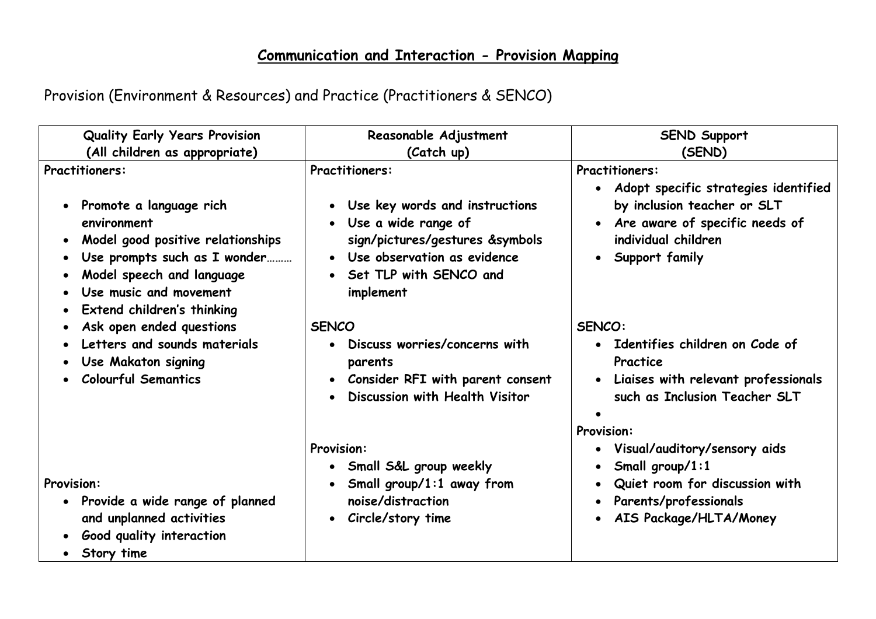## **Communication and Interaction - Provision Mapping**

| <b>Quality Early Years Provision</b><br>(All children as appropriate)                                                                                  | Reasonable Adjustment<br>(Catch up)                                                                                                 | <b>SEND Support</b><br>(SEND)                                                                                                                               |
|--------------------------------------------------------------------------------------------------------------------------------------------------------|-------------------------------------------------------------------------------------------------------------------------------------|-------------------------------------------------------------------------------------------------------------------------------------------------------------|
| <b>Practitioners:</b><br>Promote a language rich<br>environment                                                                                        | <b>Practitioners:</b><br>• Use key words and instructions<br>• Use a wide range of                                                  | <b>Practitioners:</b><br>· Adopt specific strategies identified<br>by inclusion teacher or SLT<br>Are aware of specific needs of<br>$\bullet$               |
| Model good positive relationships<br>Use prompts such as I wonder<br>Model speech and language<br>Use music and movement<br>Extend children's thinking | sign/pictures/gestures &symbols<br>• Use observation as evidence<br>• Set TLP with SENCO and<br>implement                           | individual children<br>Support family<br>$\bullet$                                                                                                          |
| Ask open ended questions<br>Letters and sounds materials<br>Use Makaton signing<br><b>Colourful Semantics</b>                                          | <b>SENCO</b><br>• Discuss worries/concerns with<br>parents<br>• Consider RFI with parent consent<br>Discussion with Health Visitor  | SENCO:<br>• Identifies children on Code of<br>Practice<br>• Liaises with relevant professionals<br>such as Inclusion Teacher SLT                            |
| <b>Provision:</b><br>Provide a wide range of planned<br>and unplanned activities<br>Good quality interaction                                           | <b>Provision:</b><br>• Small S&L group weekly<br>• Small group/1:1 away from<br>noise/distraction<br>Circle/story time<br>$\bullet$ | <b>Provision:</b><br>• Visual/auditory/sensory aids<br>Small group/1:1<br>Quiet room for discussion with<br>Parents/professionals<br>AIS Package/HLTA/Money |
| Story time                                                                                                                                             |                                                                                                                                     |                                                                                                                                                             |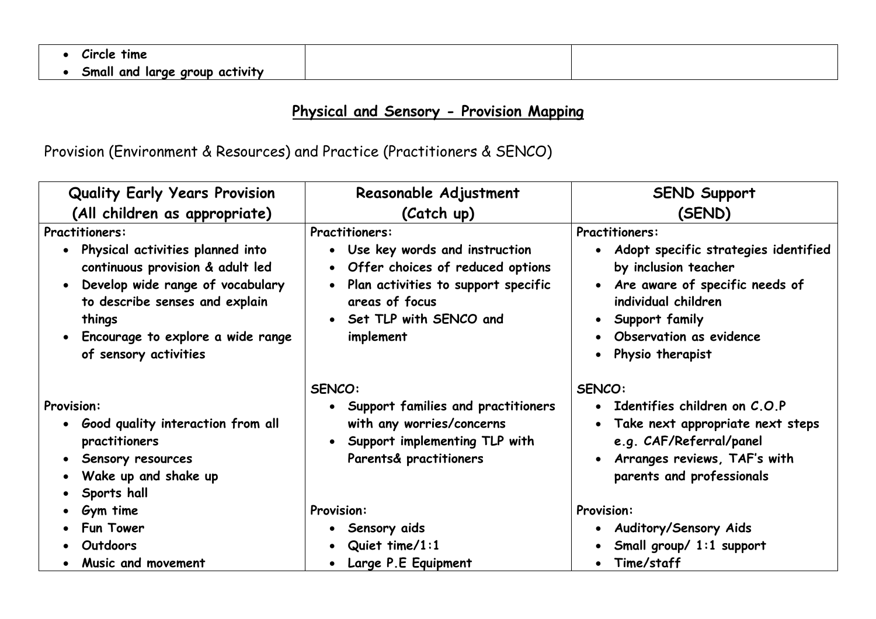| tıme<br>Circle                         |  |
|----------------------------------------|--|
| Small and<br>l large group<br>activity |  |

## **Physical and Sensory - Provision Mapping**

| <b>Quality Early Years Provision</b>                                                                                                                                                                                                                     | Reasonable Adjustment                                                                                                                                                                                         | <b>SEND Support</b>                                                                                                                                                                                                                                                   |
|----------------------------------------------------------------------------------------------------------------------------------------------------------------------------------------------------------------------------------------------------------|---------------------------------------------------------------------------------------------------------------------------------------------------------------------------------------------------------------|-----------------------------------------------------------------------------------------------------------------------------------------------------------------------------------------------------------------------------------------------------------------------|
| (All children as appropriate)                                                                                                                                                                                                                            | (Catch up)                                                                                                                                                                                                    | (SEND)                                                                                                                                                                                                                                                                |
| <b>Practitioners:</b><br>Physical activities planned into<br>continuous provision & adult led<br>Develop wide range of vocabulary<br>$\bullet$<br>to describe senses and explain<br>things<br>Encourage to explore a wide range<br>of sensory activities | <b>Practitioners:</b><br>• Use key words and instruction<br>• Offer choices of reduced options<br>Plan activities to support specific<br>$\bullet$<br>areas of focus<br>• Set TLP with SENCO and<br>implement | <b>Practitioners:</b><br>Adopt specific strategies identified<br>$\bullet$<br>by inclusion teacher<br>Are aware of specific needs of<br>$\bullet$<br>individual children<br>• Support family<br>Observation as evidence<br>$\bullet$<br>Physio therapist<br>$\bullet$ |
| <b>Provision:</b><br>• Good quality interaction from all<br>practitioners<br>Sensory resources<br>$\bullet$<br>Wake up and shake up<br>$\bullet$<br>Sports hall                                                                                          | SENCO:<br>Support families and practitioners<br>$\bullet$<br>with any worries/concerns<br>• Support implementing TLP with<br>Parents& practitioners                                                           | SENCO:<br>• Identifies children on $C.O.P$<br>Take next appropriate next steps<br>$\bullet$<br>e.g. CAF/Referral/panel<br>Arranges reviews, TAF's with<br>$\bullet$<br>parents and professionals                                                                      |
| Gym time<br><b>Fun Tower</b><br>Outdoors<br>Music and movement                                                                                                                                                                                           | <b>Provision:</b><br>• Sensory aids<br>Quiet time/1:1<br>$\bullet$<br>Large P.E Equipment                                                                                                                     | <b>Provision:</b><br><b>Auditory/Sensory Aids</b><br>$\bullet$<br>Small group/ 1:1 support<br>Time/staff<br>$\bullet$                                                                                                                                                 |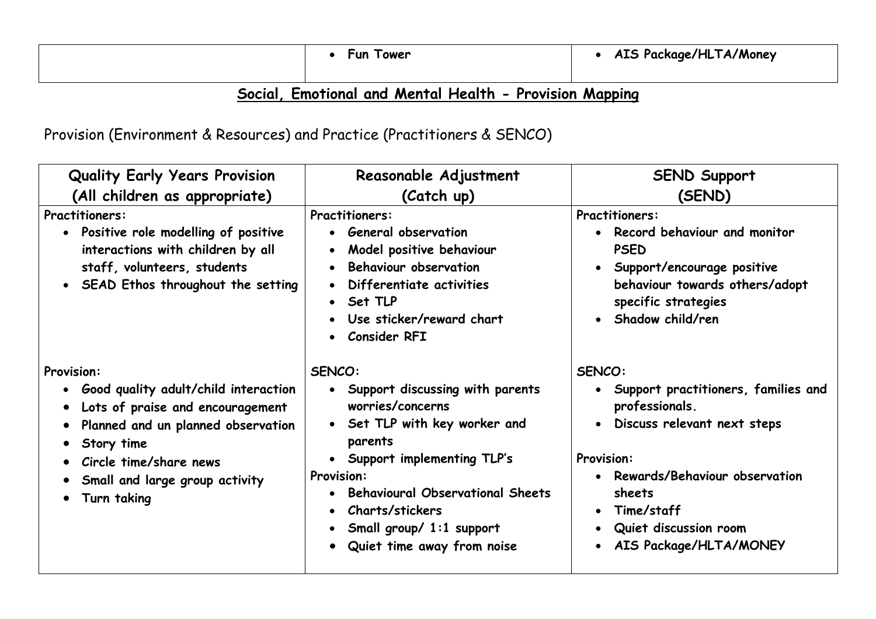| Tower<br>Fun | AIS Package/HLTA/Money |
|--------------|------------------------|
|              |                        |

## **Social, Emotional and Mental Health - Provision Mapping**

| <b>Quality Early Years Provision</b>                                                                                                                                                                                                                   | Reasonable Adjustment                                                                                                                                                                                                                                                                                                                        | <b>SEND Support</b>                                                                                                                                                                                                                                         |
|--------------------------------------------------------------------------------------------------------------------------------------------------------------------------------------------------------------------------------------------------------|----------------------------------------------------------------------------------------------------------------------------------------------------------------------------------------------------------------------------------------------------------------------------------------------------------------------------------------------|-------------------------------------------------------------------------------------------------------------------------------------------------------------------------------------------------------------------------------------------------------------|
| (All children as appropriate)                                                                                                                                                                                                                          | (Catch up)                                                                                                                                                                                                                                                                                                                                   | (SEND)                                                                                                                                                                                                                                                      |
| <b>Practitioners:</b><br>Positive role modelling of positive<br>interactions with children by all<br>staff, volunteers, students<br>SEAD Ethos throughout the setting<br>$\bullet$                                                                     | <b>Practitioners:</b><br>• General observation<br>Model positive behaviour<br>$\bullet$<br><b>Behaviour observation</b><br>$\bullet$<br>Differentiate activities<br>Set TLP<br>$\bullet$<br>Use sticker/reward chart<br>$\bullet$<br><b>Consider RFI</b><br>$\bullet$                                                                        | <b>Practitioners:</b><br>Record behaviour and monitor<br><b>PSED</b><br>Support/encourage positive<br>behaviour towards others/adopt<br>specific strategies<br>Shadow child/ren<br>$\bullet$                                                                |
| <b>Provision:</b><br>Good quality adult/child interaction<br>$\bullet$<br>Lots of praise and encouragement<br>$\bullet$<br>Planned and un planned observation<br>Story time<br>Circle time/share news<br>Small and large group activity<br>Turn taking | SENCO:<br>• Support discussing with parents<br>worries/concerns<br>• Set TLP with key worker and<br>parents<br>• Support implementing TLP's<br><b>Provision:</b><br><b>Behavioural Observational Sheets</b><br>$\bullet$<br>Charts/stickers<br>$\bullet$<br>Small group/ 1:1 support<br>$\bullet$<br>Quiet time away from noise<br>$\bullet$ | SENCO:<br>• Support practitioners, families and<br>professionals.<br>Discuss relevant next steps<br><b>Provision:</b><br>Rewards/Behaviour observation<br>sheets<br>Time/staff<br>Quiet discussion room<br>$\bullet$<br>AIS Package/HLTA/MONEY<br>$\bullet$ |